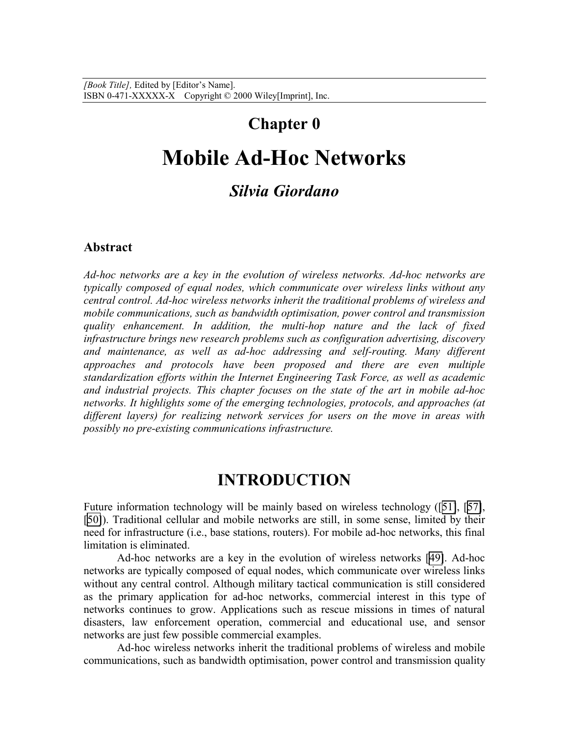# **Chapter 0 Mobile Ad-Hoc Networks**

## *Silvia Giordano*

### **Abstract**

*Ad-hoc networks are a key in the evolution of wireless networks. Ad-hoc networks are typically composed of equal nodes, which communicate over wireless links without any central control. Ad-hoc wireless networks inherit the traditional problems of wireless and mobile communications, such as bandwidth optimisation, power control and transmission quality enhancement. In addition, the multi-hop nature and the lack of fixed infrastructure brings new research problems such as configuration advertising, discovery*  and maintenance, as well as ad-hoc addressing and self-routing. Many different *approaches and protocols have been proposed and there are even multiple standardization efforts within the Internet Engineering Task Force, as well as academic and industrial projects. This chapter focuses on the state of the art in mobile ad-hoc networks. It highlights some of the emerging technologies, protocols, and approaches (at different layers) for realizing network services for users on the move in areas with possibly no pre-existing communications infrastructure.*

## **INTRODUCTION**

Future information technology will be mainly based on wireless technology ([[51\]](#page-21-0), [\[57\]](#page-21-0), [\[50\]](#page-21-0)). Traditional cellular and mobile networks are still, in some sense, limited by their need for infrastructure (i.e., base stations, routers). For mobile ad-hoc networks, this final limitation is eliminated.

Ad-hoc networks are a key in the evolution of wireless networks [\[49\]](#page-21-0). Ad-hoc networks are typically composed of equal nodes, which communicate over wireless links without any central control. Although military tactical communication is still considered as the primary application for ad-hoc networks, commercial interest in this type of networks continues to grow. Applications such as rescue missions in times of natural disasters, law enforcement operation, commercial and educational use, and sensor networks are just few possible commercial examples.

Ad-hoc wireless networks inherit the traditional problems of wireless and mobile communications, such as bandwidth optimisation, power control and transmission quality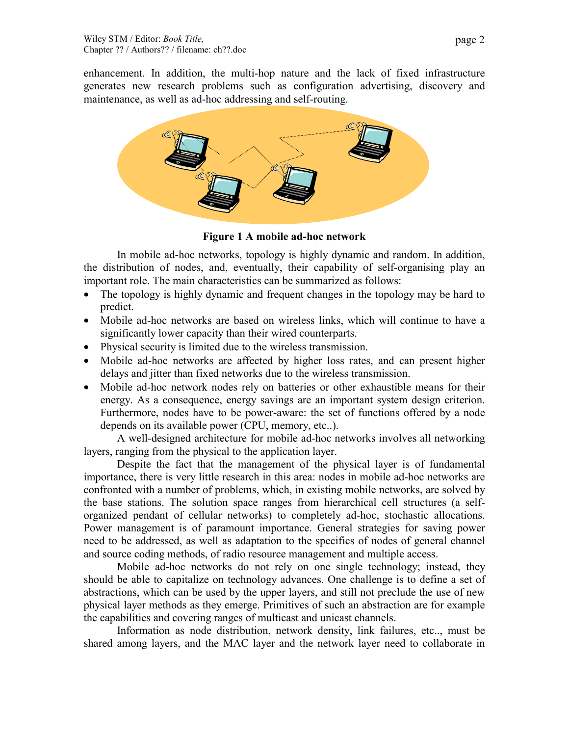enhancement. In addition, the multi-hop nature and the lack of fixed infrastructure generates new research problems such as configuration advertising, discovery and maintenance, as well as ad-hoc addressing and self-routing.



**Figure 1 A mobile ad-hoc network** 

In mobile ad-hoc networks, topology is highly dynamic and random. In addition, the distribution of nodes, and, eventually, their capability of self-organising play an important role. The main characteristics can be summarized as follows:

- The topology is highly dynamic and frequent changes in the topology may be hard to predict.
- Mobile ad-hoc networks are based on wireless links, which will continue to have a significantly lower capacity than their wired counterparts.
- Physical security is limited due to the wireless transmission.
- Mobile ad-hoc networks are affected by higher loss rates, and can present higher delays and jitter than fixed networks due to the wireless transmission.
- Mobile ad-hoc network nodes rely on batteries or other exhaustible means for their energy. As a consequence, energy savings are an important system design criterion. Furthermore, nodes have to be power-aware: the set of functions offered by a node depends on its available power (CPU, memory, etc..).

A well-designed architecture for mobile ad-hoc networks involves all networking layers, ranging from the physical to the application layer.

Despite the fact that the management of the physical layer is of fundamental importance, there is very little research in this area: nodes in mobile ad-hoc networks are confronted with a number of problems, which, in existing mobile networks, are solved by the base stations. The solution space ranges from hierarchical cell structures (a selforganized pendant of cellular networks) to completely ad-hoc, stochastic allocations. Power management is of paramount importance. General strategies for saving power need to be addressed, as well as adaptation to the specifics of nodes of general channel and source coding methods, of radio resource management and multiple access.

Mobile ad-hoc networks do not rely on one single technology; instead, they should be able to capitalize on technology advances. One challenge is to define a set of abstractions, which can be used by the upper layers, and still not preclude the use of new physical layer methods as they emerge. Primitives of such an abstraction are for example the capabilities and covering ranges of multicast and unicast channels.

Information as node distribution, network density, link failures, etc.., must be shared among layers, and the MAC layer and the network layer need to collaborate in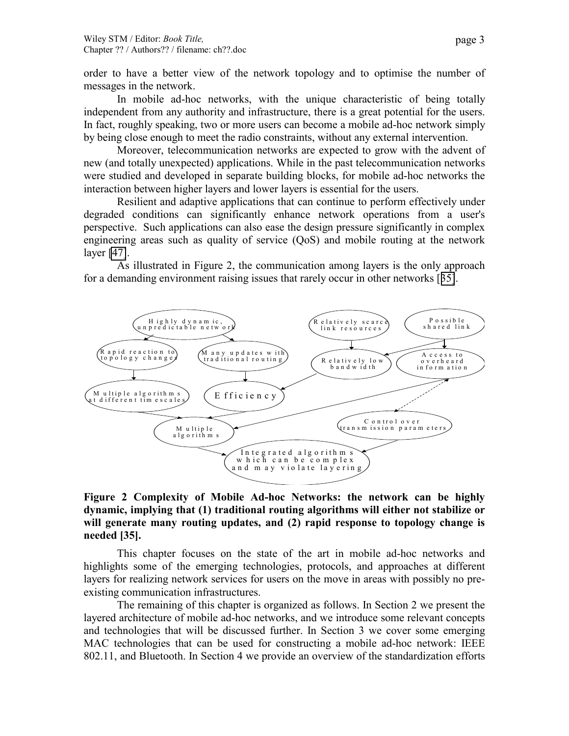order to have a better view of the network topology and to optimise the number of messages in the network.

In mobile ad-hoc networks, with the unique characteristic of being totally independent from any authority and infrastructure, there is a great potential for the users. In fact, roughly speaking, two or more users can become a mobile ad-hoc network simply by being close enough to meet the radio constraints, without any external intervention.

Moreover, telecommunication networks are expected to grow with the advent of new (and totally unexpected) applications. While in the past telecommunication networks were studied and developed in separate building blocks, for mobile ad-hoc networks the interaction between higher layers and lower layers is essential for the users.

Resilient and adaptive applications that can continue to perform effectively under degraded conditions can significantly enhance network operations from a user's perspective. Such applications can also ease the design pressure significantly in complex engineering areas such as quality of service (QoS) and mobile routing at the network layer [\[47\]](#page-21-0).

As illustrated in Figure 2, the communication among layers is the only approach for a demanding environment raising issues that rarely occur in other networks [[35\]](#page-20-0).



#### **Figure 2 Complexity of Mobile Ad-hoc Networks: the network can be highly dynamic, implying that (1) traditional routing algorithms will either not stabilize or will generate many routing updates, and (2) rapid response to topology change is needed [35].**

This chapter focuses on the state of the art in mobile ad-hoc networks and highlights some of the emerging technologies, protocols, and approaches at different layers for realizing network services for users on the move in areas with possibly no preexisting communication infrastructures.

The remaining of this chapter is organized as follows. In Section 2 we present the layered architecture of mobile ad-hoc networks, and we introduce some relevant concepts and technologies that will be discussed further. In Section 3 we cover some emerging MAC technologies that can be used for constructing a mobile ad-hoc network: IEEE 802.11, and Bluetooth. In Section 4 we provide an overview of the standardization efforts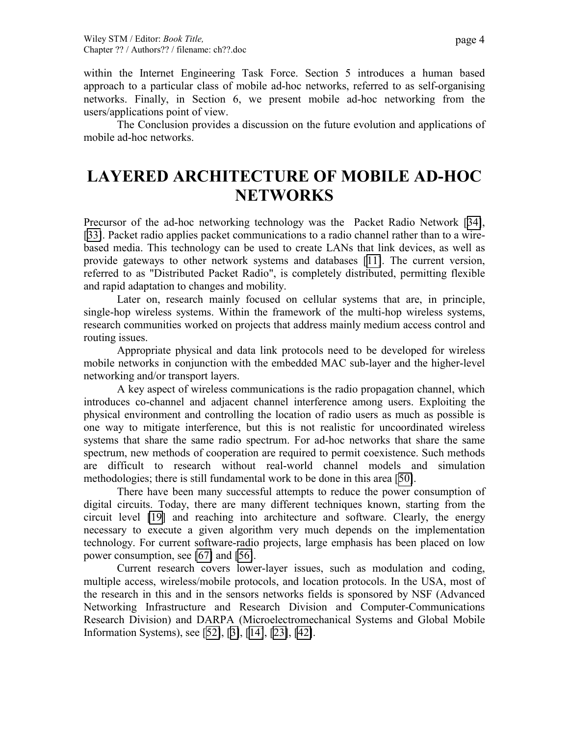within the Internet Engineering Task Force. Section 5 introduces a human based approach to a particular class of mobile ad-hoc networks, referred to as self-organising networks. Finally, in Section 6, we present mobile ad-hoc networking from the users/applications point of view.

The Conclusion provides a discussion on the future evolution and applications of mobile ad-hoc networks.

## **LAYERED ARCHITECTURE OF MOBILE AD-HOC NETWORKS**

Precursor of the ad-hoc networking technology was the Packet Radio Network [[34\]](#page-20-0), [\[33\]](#page-20-0). Packet radio applies packet communications to a radio channel rather than to a wirebased media. This technology can be used to create LANs that link devices, as well as provide gateways to other network systems and databases [[11\]](#page-18-0). The current version, referred to as "Distributed Packet Radio", is completely distributed, permitting flexible and rapid adaptation to changes and mobility.

Later on, research mainly focused on cellular systems that are, in principle, single-hop wireless systems. Within the framework of the multi-hop wireless systems, research communities worked on projects that address mainly medium access control and routing issues.

Appropriate physical and data link protocols need to be developed for wireless mobile networks in conjunction with the embedded MAC sub-layer and the higher-level networking and/or transport layers.

A key aspect of wireless communications is the radio propagation channel, which introduces co-channel and adjacent channel interference among users. Exploiting the physical environment and controlling the location of radio users as much as possible is one way to mitigate interference, but this is not realistic for uncoordinated wireless systems that share the same radio spectrum. For ad-hoc networks that share the same spectrum, new methods of cooperation are required to permit coexistence. Such methods are difficult to research without real-world channel models and simulation methodologies; there is still fundamental work to be done in this area [\[50\]](#page-21-0).

There have been many successful attempts to reduce the power consumption of digital circuits. Today, there are many different techniques known, starting from the circuit level [\[19\]](#page-19-0) and reaching into architecture and software. Clearly, the energy necessary to execute a given algorithm very much depends on the implementation technology. For current software-radio projects, large emphasis has been placed on low power consumption, see [\[67\]](#page-22-0) and [\[56\]](#page-21-0).

Current research covers lower-layer issues, such as modulation and coding, multiple access, wireless/mobile protocols, and location protocols. In the USA, most of the research in this and in the sensors networks fields is sponsored by NSF (Advanced Networking Infrastructure and Research Division and Computer-Communications Research Division) and DARPA (Microelectromechanical Systems and Global Mobile Information Systems), see [\[52\]](#page-21-0), [\[3\]](#page-18-0), [\[14\]](#page-19-0), [\[23\]](#page-19-0), [\[42\]](#page-20-0).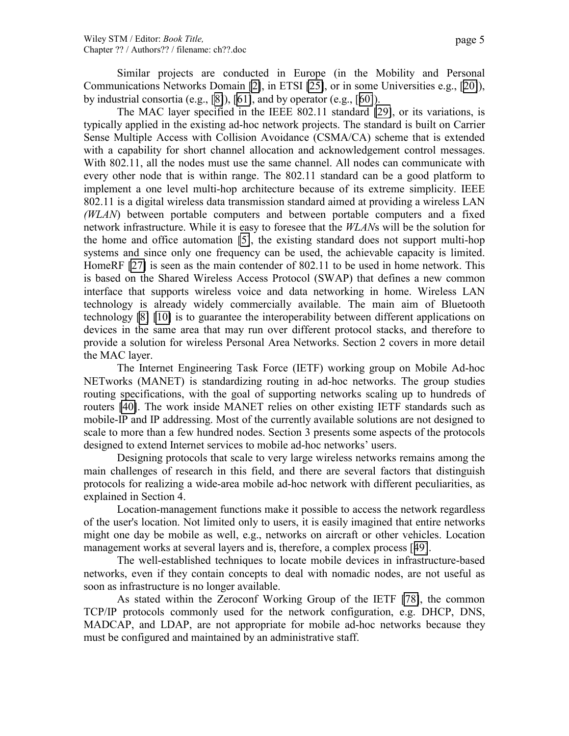Similar projects are conducted in Europe (in the Mobility and Personal Communications Networks Domain [\[2\]](#page-18-0), in ETSI [\[25\]](#page-19-0), or in some Universities e.g., [[20\]](#page-19-0)), by industrial consortia (e.g., [\[8\]](#page-18-0)), [\[61\]](#page-22-0), and by operator (e.g., [[60\]](#page-22-0)).

The MAC layer specified in the IEEE 802.11 standard [\[29\]](#page-20-0), or its variations, is typically applied in the existing ad-hoc network projects. The standard is built on Carrier Sense Multiple Access with Collision Avoidance (CSMA/CA) scheme that is extended with a capability for short channel allocation and acknowledgement control messages. With 802.11, all the nodes must use the same channel. All nodes can communicate with every other node that is within range. The 802.11 standard can be a good platform to implement a one level multi-hop architecture because of its extreme simplicity. IEEE 802.11 is a digital wireless data transmission standard aimed at providing a wireless LAN *(WLAN*) between portable computers and between portable computers and a fixed network infrastructure. While it is easy to foresee that the *WLAN*s will be the solution for the home and office automation [\[5\]](#page-18-0), the existing standard does not support multi-hop systems and since only one frequency can be used, the achievable capacity is limited. HomeRF [\[27\]](#page-20-0) is seen as the main contender of 802.11 to be used in home network. This is based on the Shared Wireless Access Protocol (SWAP) that defines a new common interface that supports wireless voice and data networking in home. Wireless LAN technology is already widely commercially available. The main aim of Bluetooth technology [\[8\]](#page-18-0) [\[10\]](#page-18-0) is to guarantee the interoperability between different applications on devices in the same area that may run over different protocol stacks, and therefore to provide a solution for wireless Personal Area Networks. Section 2 covers in more detail the MAC layer.

The Internet Engineering Task Force (IETF) working group on Mobile Ad-hoc NETworks (MANET) is standardizing routing in ad-hoc networks. The group studies routing specifications, with the goal of supporting networks scaling up to hundreds of routers [\[40\]](#page-20-0). The work inside MANET relies on other existing IETF standards such as mobile-IP and IP addressing. Most of the currently available solutions are not designed to scale to more than a few hundred nodes. Section 3 presents some aspects of the protocols designed to extend Internet services to mobile ad-hoc networks' users.

Designing protocols that scale to very large wireless networks remains among the main challenges of research in this field, and there are several factors that distinguish protocols for realizing a wide-area mobile ad-hoc network with different peculiarities, as explained in Section 4.

Location-management functions make it possible to access the network regardless of the user's location. Not limited only to users, it is easily imagined that entire networks might one day be mobile as well, e.g., networks on aircraft or other vehicles. Location management works at several layers and is, therefore, a complex process [[49\]](#page-21-0).

The well-established techniques to locate mobile devices in infrastructure-based networks, even if they contain concepts to deal with nomadic nodes, are not useful as soon as infrastructure is no longer available.

As stated within the Zeroconf Working Group of the IETF [\[78\]](#page-23-0), the common TCP/IP protocols commonly used for the network configuration, e.g. DHCP, DNS, MADCAP, and LDAP, are not appropriate for mobile ad-hoc networks because they must be configured and maintained by an administrative staff.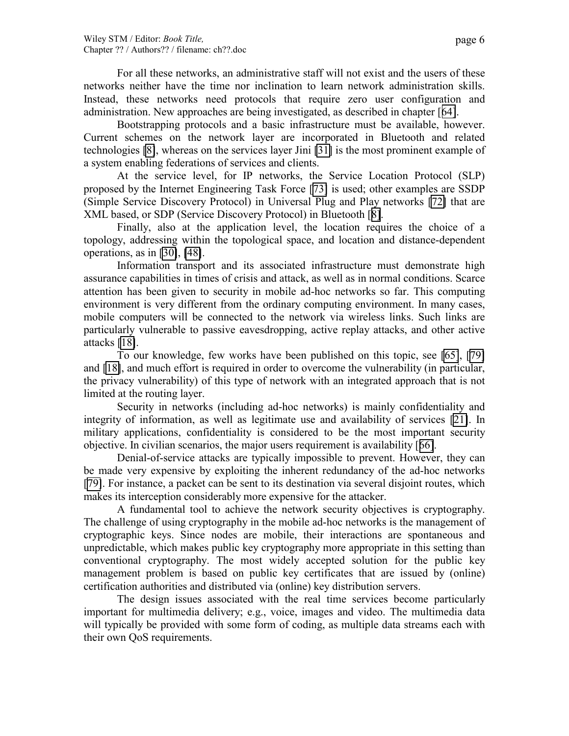For all these networks, an administrative staff will not exist and the users of these networks neither have the time nor inclination to learn network administration skills. Instead, these networks need protocols that require zero user configuration and administration. New approaches are being investigated, as described in chapter [[64\]](#page-22-0).

Bootstrapping protocols and a basic infrastructure must be available, however. Current schemes on the network layer are incorporated in Bluetooth and related technologies [\[8\]](#page-18-0), whereas on the services layer Jini [\[31\]](#page-20-0) is the most prominent example of a system enabling federations of services and clients.

At the service level, for IP networks, the Service Location Protocol (SLP) proposed by the Internet Engineering Task Force [[73\]](#page-22-0) is used; other examples are SSDP (Simple Service Discovery Protocol) in Universal Plug and Play networks [\[72\]](#page-22-0) that are XML based, or SDP (Service Discovery Protocol) in Bluetooth [[8\]](#page-18-0).

Finally, also at the application level, the location requires the choice of a topology, addressing within the topological space, and location and distance-dependent operations, as in [\[30\]](#page-20-0), [\[48\]](#page-21-0).

Information transport and its associated infrastructure must demonstrate high assurance capabilities in times of crisis and attack, as well as in normal conditions. Scarce attention has been given to security in mobile ad-hoc networks so far. This computing environment is very different from the ordinary computing environment. In many cases, mobile computers will be connected to the network via wireless links. Such links are particularly vulnerable to passive eavesdropping, active replay attacks, and other active attacks [\[18\]](#page-19-0).

To our knowledge, few works have been published on this topic, see [\[65\]](#page-22-0), [[79\]](#page-23-0) and [\[18\]](#page-19-0), and much effort is required in order to overcome the vulnerability (in particular, the privacy vulnerability) of this type of network with an integrated approach that is not limited at the routing layer.

Security in networks (including ad-hoc networks) is mainly confidentiality and integrity of information, as well as legitimate use and availability of services [\[21\]](#page-19-0). In military applications, confidentiality is considered to be the most important security objective. In civilian scenarios, the major users requirement is availability [[66\]](#page-22-0).

Denial-of-service attacks are typically impossible to prevent. However, they can be made very expensive by exploiting the inherent redundancy of the ad-hoc networks [\[79\]](#page-23-0). For instance, a packet can be sent to its destination via several disjoint routes, which makes its interception considerably more expensive for the attacker.

A fundamental tool to achieve the network security objectives is cryptography. The challenge of using cryptography in the mobile ad-hoc networks is the management of cryptographic keys. Since nodes are mobile, their interactions are spontaneous and unpredictable, which makes public key cryptography more appropriate in this setting than conventional cryptography. The most widely accepted solution for the public key management problem is based on public key certificates that are issued by (online) certification authorities and distributed via (online) key distribution servers.

The design issues associated with the real time services become particularly important for multimedia delivery; e.g., voice, images and video. The multimedia data will typically be provided with some form of coding, as multiple data streams each with their own QoS requirements.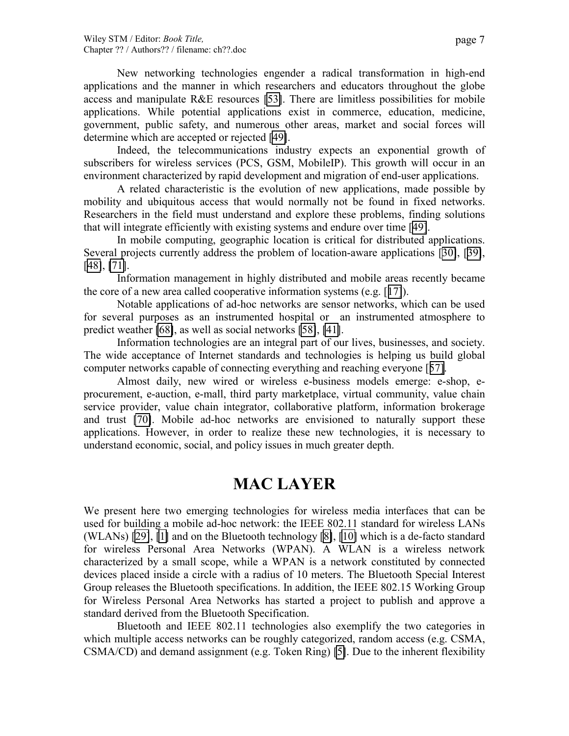New networking technologies engender a radical transformation in high-end applications and the manner in which researchers and educators throughout the globe access and manipulate R&E resources [\[53\]](#page-21-0). There are limitless possibilities for mobile applications. While potential applications exist in commerce, education, medicine, government, public safety, and numerous other areas, market and social forces will determine which are accepted or rejected [\[49\]](#page-21-0).

Indeed, the telecommunications industry expects an exponential growth of subscribers for wireless services (PCS, GSM, MobileIP). This growth will occur in an environment characterized by rapid development and migration of end-user applications.

A related characteristic is the evolution of new applications, made possible by mobility and ubiquitous access that would normally not be found in fixed networks. Researchers in the field must understand and explore these problems, finding solutions that will integrate efficiently with existing systems and endure over time [[49\]](#page-21-0).

In mobile computing, geographic location is critical for distributed applications. Several projects currently address the problem of location-aware applications [[30\]](#page-20-0), [[39\]](#page-20-0), [\[48\]](#page-21-0), [\[71\]](#page-22-0).

Information management in highly distributed and mobile areas recently became the core of a new area called cooperative information systems (e.g. [[17\]](#page-19-0)).

Notable applications of ad-hoc networks are sensor networks, which can be used for several purposes as an instrumented hospital or an instrumented atmosphere to predict weather [\[68\]](#page-22-0), as well as social networks [\[58\]](#page-21-0), [\[41\]](#page-20-0).

Information technologies are an integral part of our lives, businesses, and society. The wide acceptance of Internet standards and technologies is helping us build global computer networks capable of connecting everything and reaching everyone [[57\]](#page-21-0).

Almost daily, new wired or wireless e-business models emerge: e-shop, eprocurement, e-auction, e-mall, third party marketplace, virtual community, value chain service provider, value chain integrator, collaborative platform, information brokerage and trust [\[70\]](#page-22-0). Mobile ad-hoc networks are envisioned to naturally support these applications. However, in order to realize these new technologies, it is necessary to understand economic, social, and policy issues in much greater depth.

## **MAC LAYER**

We present here two emerging technologies for wireless media interfaces that can be used for building a mobile ad-hoc network: the IEEE 802.11 standard for wireless LANs (WLANs) [\[29\]](#page-20-0), [\[1\]](#page-18-0) and on the Bluetooth technology [\[8\]](#page-18-0), [\[10\]](#page-18-0) which is a de-facto standard for wireless Personal Area Networks (WPAN). A WLAN is a wireless network characterized by a small scope, while a WPAN is a network constituted by connected devices placed inside a circle with a radius of 10 meters. The Bluetooth Special Interest Group releases the Bluetooth specifications. In addition, the IEEE 802.15 Working Group for Wireless Personal Area Networks has started a project to publish and approve a standard derived from the Bluetooth Specification.

Bluetooth and IEEE 802.11 technologies also exemplify the two categories in which multiple access networks can be roughly categorized, random access (e.g. CSMA, CSMA/CD) and demand assignment (e.g. Token Ring) [\[5\]](#page-18-0). Due to the inherent flexibility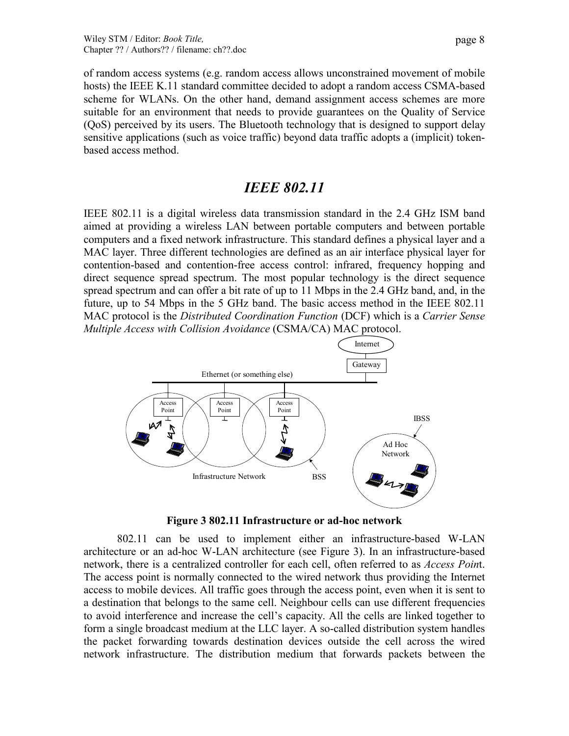of random access systems (e.g. random access allows unconstrained movement of mobile hosts) the IEEE K.11 standard committee decided to adopt a random access CSMA-based scheme for WLANs. On the other hand, demand assignment access schemes are more suitable for an environment that needs to provide guarantees on the Quality of Service (QoS) perceived by its users. The Bluetooth technology that is designed to support delay sensitive applications (such as voice traffic) beyond data traffic adopts a (implicit) tokenbased access method.

### *IEEE 802.11*

IEEE 802.11 is a digital wireless data transmission standard in the 2.4 GHz ISM band aimed at providing a wireless LAN between portable computers and between portable computers and a fixed network infrastructure. This standard defines a physical layer and a MAC layer. Three different technologies are defined as an air interface physical layer for contention-based and contention-free access control: infrared, frequency hopping and direct sequence spread spectrum. The most popular technology is the direct sequence spread spectrum and can offer a bit rate of up to 11 Mbps in the 2.4 GHz band, and, in the future, up to 54 Mbps in the 5 GHz band. The basic access method in the IEEE 802.11 MAC protocol is the *Distributed Coordination Function* (DCF) which is a *Carrier Sense Multiple Access with Collision Avoidance* (CSMA/CA) MAC protocol.



**Figure 3 802.11 Infrastructure or ad-hoc network** 

802.11 can be used to implement either an infrastructure-based W-LAN architecture or an ad-hoc W-LAN architecture (see Figure 3). In an infrastructure-based network, there is a centralized controller for each cell, often referred to as *Access Poin*t. The access point is normally connected to the wired network thus providing the Internet access to mobile devices. All traffic goes through the access point, even when it is sent to a destination that belongs to the same cell. Neighbour cells can use different frequencies to avoid interference and increase the cell's capacity. All the cells are linked together to form a single broadcast medium at the LLC layer. A so-called distribution system handles the packet forwarding towards destination devices outside the cell across the wired network infrastructure. The distribution medium that forwards packets between the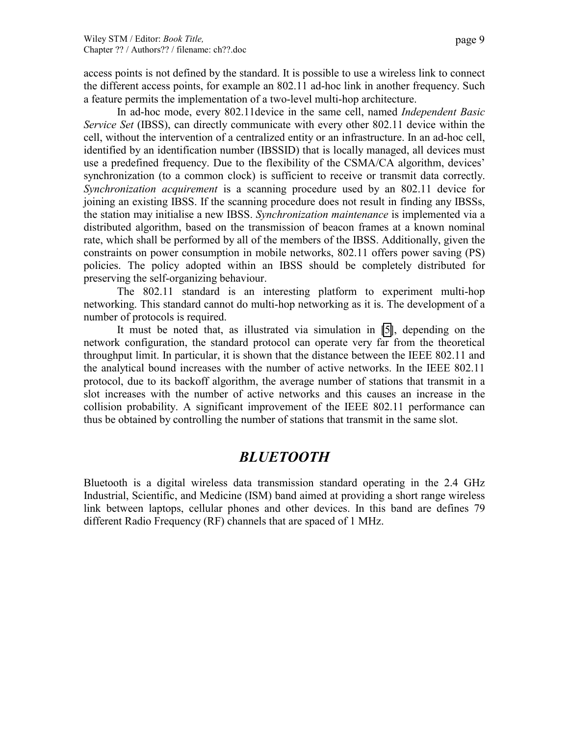page 9

access points is not defined by the standard. It is possible to use a wireless link to connect the different access points, for example an 802.11 ad-hoc link in another frequency. Such a feature permits the implementation of a two-level multi-hop architecture.

In ad-hoc mode, every 802.11device in the same cell, named *Independent Basic Service Set* (IBSS), can directly communicate with every other 802.11 device within the cell, without the intervention of a centralized entity or an infrastructure. In an ad-hoc cell, identified by an identification number (IBSSID) that is locally managed, all devices must use a predefined frequency. Due to the flexibility of the CSMA/CA algorithm, devices' synchronization (to a common clock) is sufficient to receive or transmit data correctly. *Synchronization acquirement* is a scanning procedure used by an 802.11 device for joining an existing IBSS. If the scanning procedure does not result in finding any IBSSs, the station may initialise a new IBSS. *Synchronization maintenance* is implemented via a distributed algorithm, based on the transmission of beacon frames at a known nominal rate, which shall be performed by all of the members of the IBSS. Additionally, given the constraints on power consumption in mobile networks, 802.11 offers power saving (PS) policies. The policy adopted within an IBSS should be completely distributed for preserving the self-organizing behaviour.

The 802.11 standard is an interesting platform to experiment multi-hop networking. This standard cannot do multi-hop networking as it is. The development of a number of protocols is required.

It must be noted that, as illustrated via simulation in [\[5\]](#page-18-0), depending on the network configuration, the standard protocol can operate very far from the theoretical throughput limit. In particular, it is shown that the distance between the IEEE 802.11 and the analytical bound increases with the number of active networks. In the IEEE 802.11 protocol, due to its backoff algorithm, the average number of stations that transmit in a slot increases with the number of active networks and this causes an increase in the collision probability. A significant improvement of the IEEE 802.11 performance can thus be obtained by controlling the number of stations that transmit in the same slot.

## *BLUETOOTH*

Bluetooth is a digital wireless data transmission standard operating in the 2.4 GHz Industrial, Scientific, and Medicine (ISM) band aimed at providing a short range wireless link between laptops, cellular phones and other devices. In this band are defines 79 different Radio Frequency (RF) channels that are spaced of 1 MHz.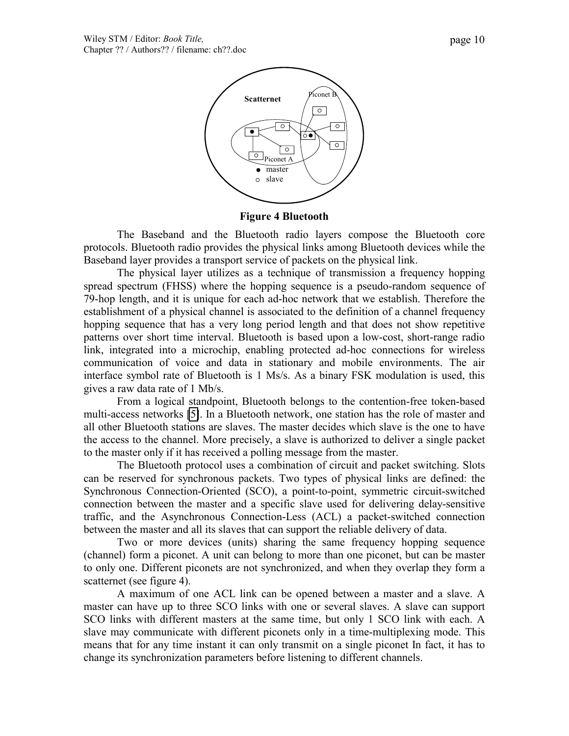

**Figure 4 Bluetooth**

The Baseband and the Bluetooth radio layers compose the Bluetooth core protocols. Bluetooth radio provides the physical links among Bluetooth devices while the Baseband layer provides a transport service of packets on the physical link.

The physical layer utilizes as a technique of transmission a frequency hopping spread spectrum (FHSS) where the hopping sequence is a pseudo-random sequence of 79-hop length, and it is unique for each ad-hoc network that we establish. Therefore the establishment of a physical channel is associated to the definition of a channel frequency hopping sequence that has a very long period length and that does not show repetitive patterns over short time interval. Bluetooth is based upon a low-cost, short-range radio link, integrated into a microchip, enabling protected ad-hoc connections for wireless communication of voice and data in stationary and mobile environments. The air interface symbol rate of Bluetooth is 1 Ms/s. As a binary FSK modulation is used, this gives a raw data rate of 1 Mb/s.

From a logical standpoint, Bluetooth belongs to the contention-free token-based multi-access networks [\[5\]](#page-18-0). In a Bluetooth network, one station has the role of master and all other Bluetooth stations are slaves. The master decides which slave is the one to have the access to the channel. More precisely, a slave is authorized to deliver a single packet to the master only if it has received a polling message from the master.

The Bluetooth protocol uses a combination of circuit and packet switching. Slots can be reserved for synchronous packets. Two types of physical links are defined: the Synchronous Connection-Oriented (SCO), a point-to-point, symmetric circuit-switched connection between the master and a specific slave used for delivering delay-sensitive traffic, and the Asynchronous Connection-Less (ACL) a packet-switched connection between the master and all its slaves that can support the reliable delivery of data.

Two or more devices (units) sharing the same frequency hopping sequence (channel) form a piconet. A unit can belong to more than one piconet, but can be master to only one. Different piconets are not synchronized, and when they overlap they form a scatternet (see figure 4).

A maximum of one ACL link can be opened between a master and a slave. A master can have up to three SCO links with one or several slaves. A slave can support SCO links with different masters at the same time, but only 1 SCO link with each. A slave may communicate with different piconets only in a time-multiplexing mode. This means that for any time instant it can only transmit on a single piconet In fact, it has to change its synchronization parameters before listening to different channels.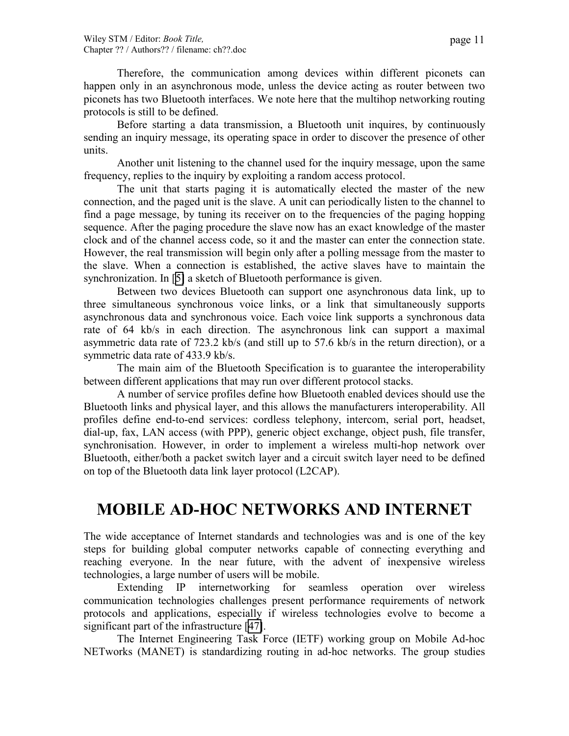Therefore, the communication among devices within different piconets can happen only in an asynchronous mode, unless the device acting as router between two piconets has two Bluetooth interfaces. We note here that the multihop networking routing protocols is still to be defined.

Before starting a data transmission, a Bluetooth unit inquires, by continuously sending an inquiry message, its operating space in order to discover the presence of other units.

Another unit listening to the channel used for the inquiry message, upon the same frequency, replies to the inquiry by exploiting a random access protocol.

The unit that starts paging it is automatically elected the master of the new connection, and the paged unit is the slave. A unit can periodically listen to the channel to find a page message, by tuning its receiver on to the frequencies of the paging hopping sequence. After the paging procedure the slave now has an exact knowledge of the master clock and of the channel access code, so it and the master can enter the connection state. However, the real transmission will begin only after a polling message from the master to the slave. When a connection is established, the active slaves have to maintain the synchronization. In [[5\]](#page-18-0) a sketch of Bluetooth performance is given.

Between two devices Bluetooth can support one asynchronous data link, up to three simultaneous synchronous voice links, or a link that simultaneously supports asynchronous data and synchronous voice. Each voice link supports a synchronous data rate of 64 kb/s in each direction. The asynchronous link can support a maximal asymmetric data rate of 723.2 kb/s (and still up to 57.6 kb/s in the return direction), or a symmetric data rate of 433.9 kb/s.

The main aim of the Bluetooth Specification is to guarantee the interoperability between different applications that may run over different protocol stacks.

A number of service profiles define how Bluetooth enabled devices should use the Bluetooth links and physical layer, and this allows the manufacturers interoperability. All profiles define end-to-end services: cordless telephony, intercom, serial port, headset, dial-up, fax, LAN access (with PPP), generic object exchange, object push, file transfer, synchronisation. However, in order to implement a wireless multi-hop network over Bluetooth, either/both a packet switch layer and a circuit switch layer need to be defined on top of the Bluetooth data link layer protocol (L2CAP).

## **MOBILE AD-HOC NETWORKS AND INTERNET**

The wide acceptance of Internet standards and technologies was and is one of the key steps for building global computer networks capable of connecting everything and reaching everyone. In the near future, with the advent of inexpensive wireless technologies, a large number of users will be mobile.

Extending IP internetworking for seamless operation over wireless communication technologies challenges present performance requirements of network protocols and applications, especially if wireless technologies evolve to become a significant part of the infrastructure [\[47\]](#page-21-0).

The Internet Engineering Task Force (IETF) working group on Mobile Ad-hoc NETworks (MANET) is standardizing routing in ad-hoc networks. The group studies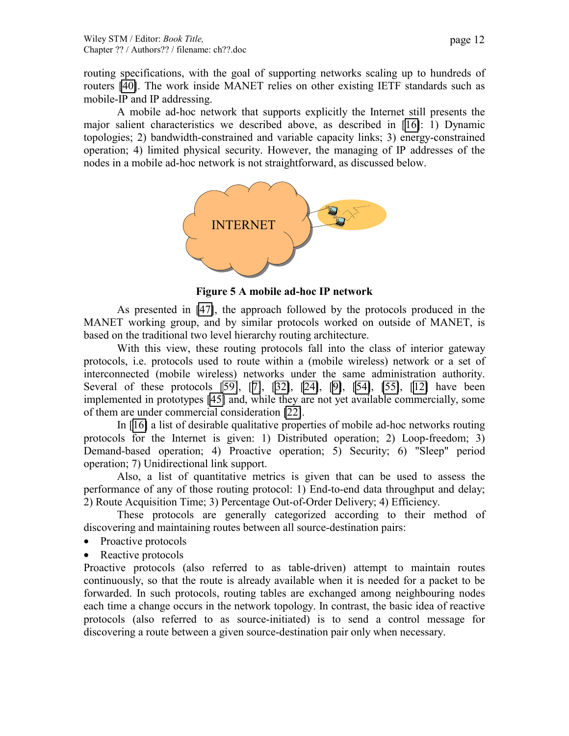routing specifications, with the goal of supporting networks scaling up to hundreds of routers [\[40\]](#page-20-0). The work inside MANET relies on other existing IETF standards such as mobile-IP and IP addressing.

A mobile ad-hoc network that supports explicitly the Internet still presents the major salient characteristics we described above, as described in [\[16\]](#page-19-0): 1) Dynamic topologies; 2) bandwidth-constrained and variable capacity links; 3) energy-constrained operation; 4) limited physical security. However, the managing of IP addresses of the nodes in a mobile ad-hoc network is not straightforward, as discussed below.



**Figure 5 A mobile ad-hoc IP network**

As presented in [\[47\]](#page-21-0), the approach followed by the protocols produced in the MANET working group, and by similar protocols worked on outside of MANET, is based on the traditional two level hierarchy routing architecture.

With this view, these routing protocols fall into the class of interior gateway protocols, i.e. protocols used to route within a (mobile wireless) network or a set of interconnected (mobile wireless) networks under the same administration authority. Several of these protocols [\[59\]](#page-22-0), [[7\]](#page-18-0), [\[32\]](#page-20-0), [\[24\]](#page-19-0), [\[9\]](#page-18-0), [\[54\]](#page-21-0), [\[55\]](#page-21-0), [\[12\]](#page-19-0) have been implemented in prototypes [\[45\]](#page-21-0) and, while they are not yet available commercially, some of them are under commercial consideration [\[22\]](#page-21-0).

In [\[16\]](#page-19-0) a list of desirable qualitative properties of mobile ad-hoc networks routing protocols for the Internet is given: 1) Distributed operation; 2) Loop-freedom; 3) Demand-based operation; 4) Proactive operation; 5) Security; 6) "Sleep" period operation; 7) Unidirectional link support.

Also, a list of quantitative metrics is given that can be used to assess the performance of any of those routing protocol: 1) End-to-end data throughput and delay; 2) Route Acquisition Time; 3) Percentage Out-of-Order Delivery; 4) Efficiency.

These protocols are generally categorized according to their method of discovering and maintaining routes between all source-destination pairs:

- Proactive protocols
- Reactive protocols

Proactive protocols (also referred to as table-driven) attempt to maintain routes continuously, so that the route is already available when it is needed for a packet to be forwarded. In such protocols, routing tables are exchanged among neighbouring nodes each time a change occurs in the network topology. In contrast, the basic idea of reactive protocols (also referred to as source-initiated) is to send a control message for discovering a route between a given source-destination pair only when necessary.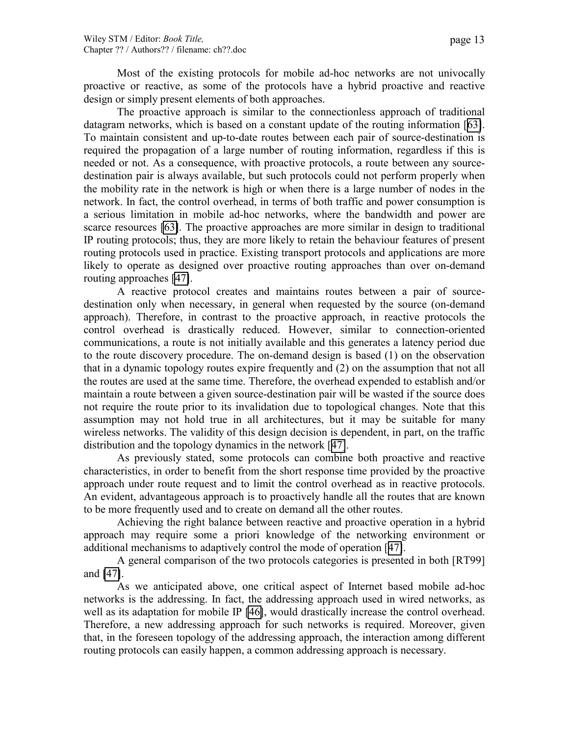Most of the existing protocols for mobile ad-hoc networks are not univocally proactive or reactive, as some of the protocols have a hybrid proactive and reactive design or simply present elements of both approaches.

The proactive approach is similar to the connectionless approach of traditional datagram networks, which is based on a constant update of the routing information [[63\]](#page-22-0). To maintain consistent and up-to-date routes between each pair of source-destination is required the propagation of a large number of routing information, regardless if this is needed or not. As a consequence, with proactive protocols, a route between any sourcedestination pair is always available, but such protocols could not perform properly when the mobility rate in the network is high or when there is a large number of nodes in the network. In fact, the control overhead, in terms of both traffic and power consumption is a serious limitation in mobile ad-hoc networks, where the bandwidth and power are scarce resources [\[63\]](#page-22-0). The proactive approaches are more similar in design to traditional IP routing protocols; thus, they are more likely to retain the behaviour features of present routing protocols used in practice. Existing transport protocols and applications are more likely to operate as designed over proactive routing approaches than over on-demand routing approaches [\[47\]](#page-21-0).

A reactive protocol creates and maintains routes between a pair of sourcedestination only when necessary, in general when requested by the source (on-demand approach). Therefore, in contrast to the proactive approach, in reactive protocols the control overhead is drastically reduced. However, similar to connection-oriented communications, a route is not initially available and this generates a latency period due to the route discovery procedure. The on-demand design is based (1) on the observation that in a dynamic topology routes expire frequently and (2) on the assumption that not all the routes are used at the same time. Therefore, the overhead expended to establish and/or maintain a route between a given source-destination pair will be wasted if the source does not require the route prior to its invalidation due to topological changes. Note that this assumption may not hold true in all architectures, but it may be suitable for many wireless networks. The validity of this design decision is dependent, in part, on the traffic distribution and the topology dynamics in the network [[47\]](#page-21-0).

As previously stated, some protocols can combine both proactive and reactive characteristics, in order to benefit from the short response time provided by the proactive approach under route request and to limit the control overhead as in reactive protocols. An evident, advantageous approach is to proactively handle all the routes that are known to be more frequently used and to create on demand all the other routes.

Achieving the right balance between reactive and proactive operation in a hybrid approach may require some a priori knowledge of the networking environment or additional mechanisms to adaptively control the mode of operation [[47\]](#page-21-0).

A general comparison of the two protocols categories is presented in both [RT99] and [\[47\]](#page-21-0).

As we anticipated above, one critical aspect of Internet based mobile ad-hoc networks is the addressing. In fact, the addressing approach used in wired networks, as well as its adaptation for mobile IP [\[46\]](#page-21-0), would drastically increase the control overhead. Therefore, a new addressing approach for such networks is required. Moreover, given that, in the foreseen topology of the addressing approach, the interaction among different routing protocols can easily happen, a common addressing approach is necessary.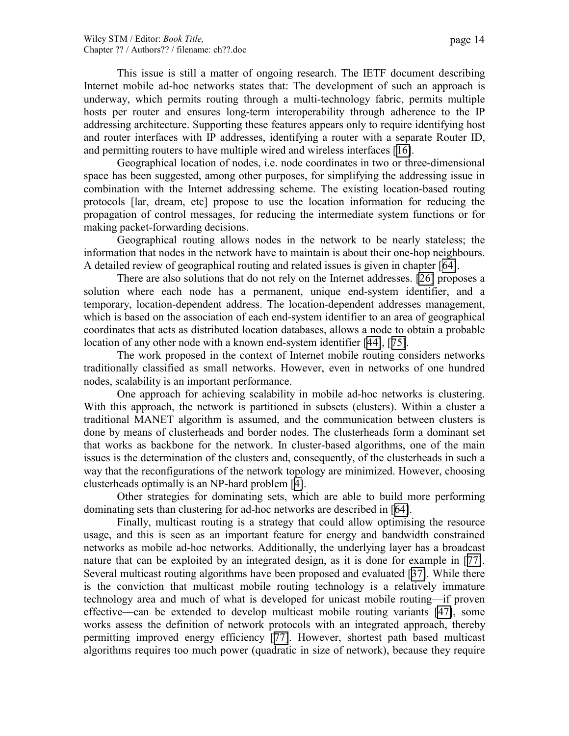This issue is still a matter of ongoing research. The IETF document describing Internet mobile ad-hoc networks states that: The development of such an approach is underway, which permits routing through a multi-technology fabric, permits multiple hosts per router and ensures long-term interoperability through adherence to the IP addressing architecture. Supporting these features appears only to require identifying host and router interfaces with IP addresses, identifying a router with a separate Router ID, and permitting routers to have multiple wired and wireless interfaces [[16\]](#page-19-0).

Geographical location of nodes, i.e. node coordinates in two or three-dimensional space has been suggested, among other purposes, for simplifying the addressing issue in combination with the Internet addressing scheme. The existing location-based routing protocols [lar, dream, etc] propose to use the location information for reducing the propagation of control messages, for reducing the intermediate system functions or for making packet-forwarding decisions.

Geographical routing allows nodes in the network to be nearly stateless; the information that nodes in the network have to maintain is about their one-hop neighbours. A detailed review of geographical routing and related issues is given in chapter [[64\]](#page-22-0).

There are also solutions that do not rely on the Internet addresses. [\[26\]](#page-19-0) proposes a solution where each node has a permanent, unique end-system identifier, and a temporary, location-dependent address. The location-dependent addresses management, which is based on the association of each end-system identifier to an area of geographical coordinates that acts as distributed location databases, allows a node to obtain a probable location of any other node with a known end-system identifier [[44\]](#page-21-0), [[75\]](#page-23-0).

The work proposed in the context of Internet mobile routing considers networks traditionally classified as small networks. However, even in networks of one hundred nodes, scalability is an important performance.

One approach for achieving scalability in mobile ad-hoc networks is clustering. With this approach, the network is partitioned in subsets (clusters). Within a cluster a traditional MANET algorithm is assumed, and the communication between clusters is done by means of clusterheads and border nodes. The clusterheads form a dominant set that works as backbone for the network. In cluster-based algorithms, one of the main issues is the determination of the clusters and, consequently, of the clusterheads in such a way that the reconfigurations of the network topology are minimized. However, choosing clusterheads optimally is an NP-hard problem [[4\]](#page-18-0).

Other strategies for dominating sets, which are able to build more performing dominating sets than clustering for ad-hoc networks are described in [[64\]](#page-22-0).

Finally, multicast routing is a strategy that could allow optimising the resource usage, and this is seen as an important feature for energy and bandwidth constrained networks as mobile ad-hoc networks. Additionally, the underlying layer has a broadcast nature that can be exploited by an integrated design, as it is done for example in [[77\]](#page-23-0). Several multicast routing algorithms have been proposed and evaluated [[37\]](#page-20-0). While there is the conviction that multicast mobile routing technology is a relatively immature technology area and much of what is developed for unicast mobile routing—if proven effective—can be extended to develop multicast mobile routing variants [\[47\]](#page-21-0), some works assess the definition of network protocols with an integrated approach, thereby permitting improved energy efficiency [\[77\]](#page-23-0). However, shortest path based multicast algorithms requires too much power (quadratic in size of network), because they require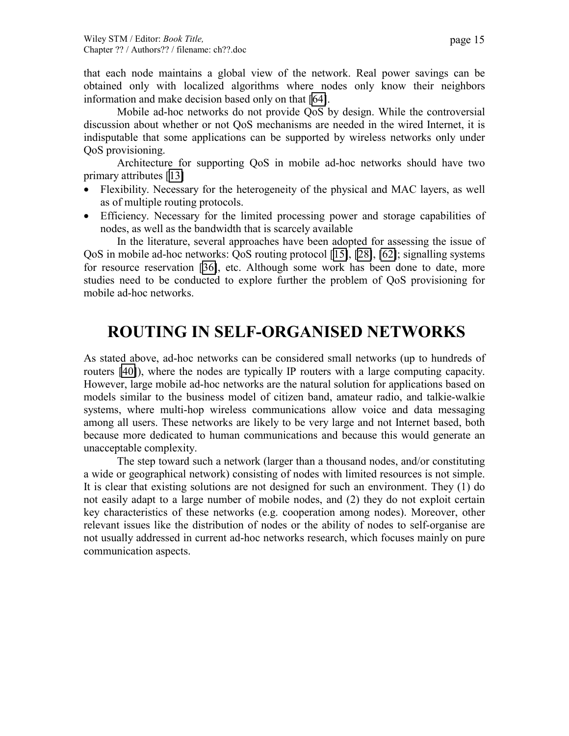that each node maintains a global view of the network. Real power savings can be obtained only with localized algorithms where nodes only know their neighbors information and make decision based only on that [\[64\]](#page-22-0).

Mobile ad-hoc networks do not provide QoS by design. While the controversial discussion about whether or not QoS mechanisms are needed in the wired Internet, it is indisputable that some applications can be supported by wireless networks only under QoS provisioning.

Architecture for supporting QoS in mobile ad-hoc networks should have two primary attributes [\[13\]](#page-19-0)

- Flexibility. Necessary for the heterogeneity of the physical and MAC layers, as well as of multiple routing protocols.
- Efficiency. Necessary for the limited processing power and storage capabilities of nodes, as well as the bandwidth that is scarcely available

In the literature, several approaches have been adopted for assessing the issue of QoS in mobile ad-hoc networks: QoS routing protocol [\[15\]](#page-19-0), [\[28\]](#page-20-0), [\[62\]](#page-22-0); signalling systems for resource reservation [\[36\]](#page-20-0), etc. Although some work has been done to date, more studies need to be conducted to explore further the problem of QoS provisioning for mobile ad-hoc networks.

## **ROUTING IN SELF-ORGANISED NETWORKS**

As stated above, ad-hoc networks can be considered small networks (up to hundreds of routers [\[40\]](#page-20-0)), where the nodes are typically IP routers with a large computing capacity. However, large mobile ad-hoc networks are the natural solution for applications based on models similar to the business model of citizen band, amateur radio, and talkie-walkie systems, where multi-hop wireless communications allow voice and data messaging among all users. These networks are likely to be very large and not Internet based, both because more dedicated to human communications and because this would generate an unacceptable complexity.

The step toward such a network (larger than a thousand nodes, and/or constituting a wide or geographical network) consisting of nodes with limited resources is not simple. It is clear that existing solutions are not designed for such an environment. They (1) do not easily adapt to a large number of mobile nodes, and (2) they do not exploit certain key characteristics of these networks (e.g. cooperation among nodes). Moreover, other relevant issues like the distribution of nodes or the ability of nodes to self-organise are not usually addressed in current ad-hoc networks research, which focuses mainly on pure communication aspects.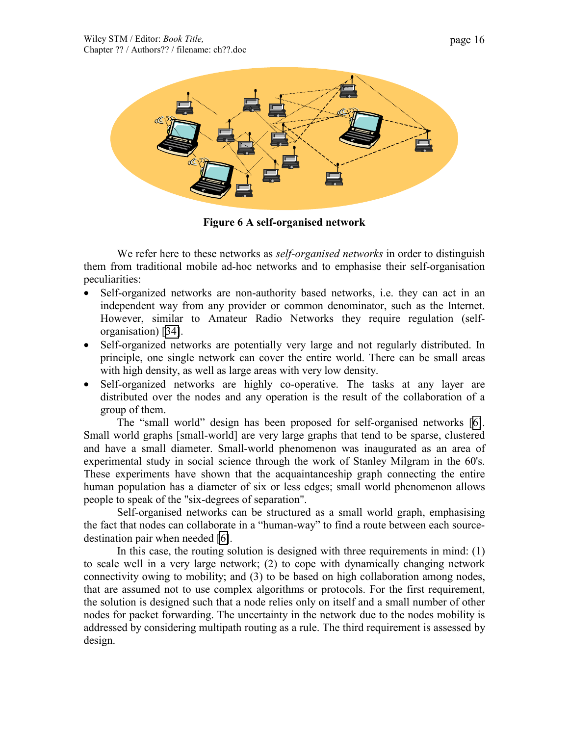

**Figure 6 A self-organised network**

We refer here to these networks as *self-organised networks* in order to distinguish them from traditional mobile ad-hoc networks and to emphasise their self-organisation peculiarities:

- Self-organized networks are non-authority based networks, i.e. they can act in an independent way from any provider or common denominator, such as the Internet. However, similar to Amateur Radio Networks they require regulation (selforganisation) [\[34\]](#page-20-0).
- Self-organized networks are potentially very large and not regularly distributed. In principle, one single network can cover the entire world. There can be small areas with high density, as well as large areas with very low density.
- Self-organized networks are highly co-operative. The tasks at any layer are distributed over the nodes and any operation is the result of the collaboration of a group of them.

The "small world" design has been proposed for self-organised networks [[6\]](#page-18-0). Small world graphs [small-world] are very large graphs that tend to be sparse, clustered and have a small diameter. Small-world phenomenon was inaugurated as an area of experimental study in social science through the work of Stanley Milgram in the 60's. These experiments have shown that the acquaintanceship graph connecting the entire human population has a diameter of six or less edges; small world phenomenon allows people to speak of the "six-degrees of separation".

Self-organised networks can be structured as a small world graph, emphasising the fact that nodes can collaborate in a "human-way" to find a route between each sourcedestination pair when needed [\[6\]](#page-18-0).

In this case, the routing solution is designed with three requirements in mind: (1) to scale well in a very large network; (2) to cope with dynamically changing network connectivity owing to mobility; and (3) to be based on high collaboration among nodes, that are assumed not to use complex algorithms or protocols. For the first requirement, the solution is designed such that a node relies only on itself and a small number of other nodes for packet forwarding. The uncertainty in the network due to the nodes mobility is addressed by considering multipath routing as a rule. The third requirement is assessed by design.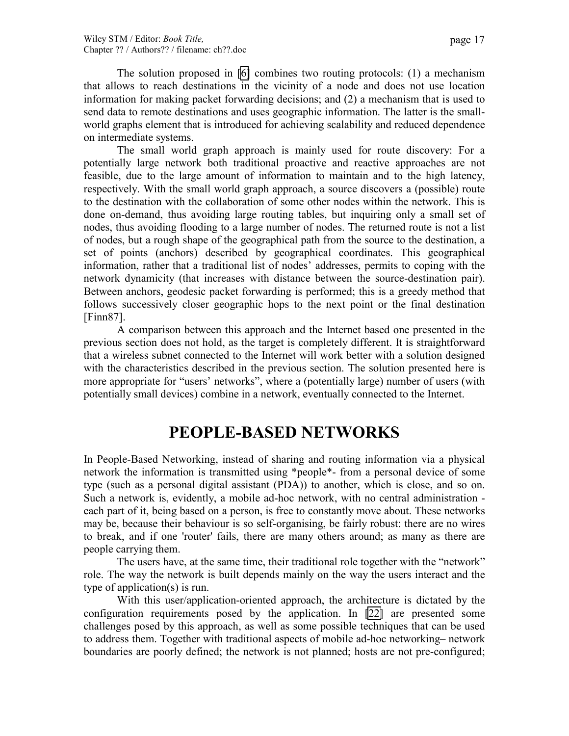The solution proposed in [\[6\]](#page-18-0) combines two routing protocols: (1) a mechanism that allows to reach destinations in the vicinity of a node and does not use location information for making packet forwarding decisions; and (2) a mechanism that is used to send data to remote destinations and uses geographic information. The latter is the smallworld graphs element that is introduced for achieving scalability and reduced dependence on intermediate systems.

The small world graph approach is mainly used for route discovery: For a potentially large network both traditional proactive and reactive approaches are not feasible, due to the large amount of information to maintain and to the high latency, respectively. With the small world graph approach, a source discovers a (possible) route to the destination with the collaboration of some other nodes within the network. This is done on-demand, thus avoiding large routing tables, but inquiring only a small set of nodes, thus avoiding flooding to a large number of nodes. The returned route is not a list of nodes, but a rough shape of the geographical path from the source to the destination, a set of points (anchors) described by geographical coordinates. This geographical information, rather that a traditional list of nodes' addresses, permits to coping with the network dynamicity (that increases with distance between the source-destination pair). Between anchors, geodesic packet forwarding is performed; this is a greedy method that follows successively closer geographic hops to the next point or the final destination [Finn87].

A comparison between this approach and the Internet based one presented in the previous section does not hold, as the target is completely different. It is straightforward that a wireless subnet connected to the Internet will work better with a solution designed with the characteristics described in the previous section. The solution presented here is more appropriate for "users' networks", where a (potentially large) number of users (with potentially small devices) combine in a network, eventually connected to the Internet.

## **PEOPLE-BASED NETWORKS**

In People-Based Networking, instead of sharing and routing information via a physical network the information is transmitted using \*people\*- from a personal device of some type (such as a personal digital assistant (PDA)) to another, which is close, and so on. Such a network is, evidently, a mobile ad-hoc network, with no central administration each part of it, being based on a person, is free to constantly move about. These networks may be, because their behaviour is so self-organising, be fairly robust: there are no wires to break, and if one 'router' fails, there are many others around; as many as there are people carrying them.

The users have, at the same time, their traditional role together with the "network" role. The way the network is built depends mainly on the way the users interact and the type of application(s) is run.

With this user/application-oriented approach, the architecture is dictated by the configuration requirements posed by the application. In [\[22\]](#page-19-0) are presented some challenges posed by this approach, as well as some possible techniques that can be used to address them. Together with traditional aspects of mobile ad-hoc networking– network boundaries are poorly defined; the network is not planned; hosts are not pre-configured;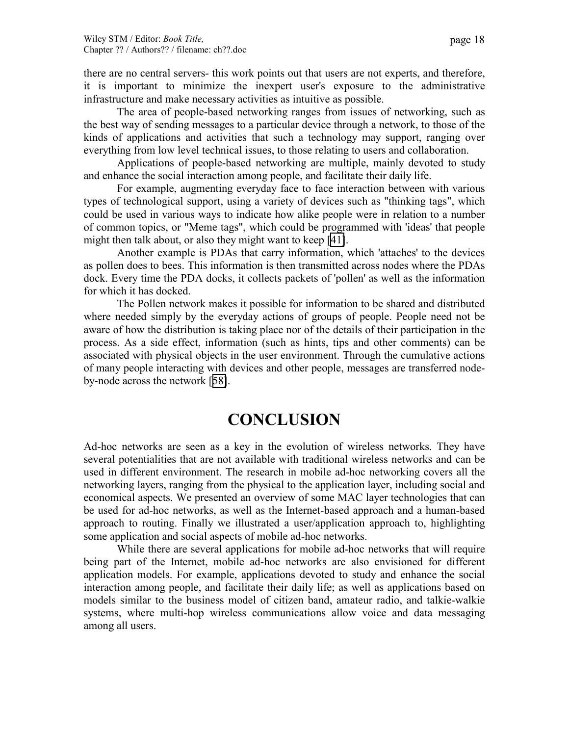there are no central servers- this work points out that users are not experts, and therefore, it is important to minimize the inexpert user's exposure to the administrative infrastructure and make necessary activities as intuitive as possible.

The area of people-based networking ranges from issues of networking, such as the best way of sending messages to a particular device through a network, to those of the kinds of applications and activities that such a technology may support, ranging over everything from low level technical issues, to those relating to users and collaboration.

Applications of people-based networking are multiple, mainly devoted to study and enhance the social interaction among people, and facilitate their daily life.

For example, augmenting everyday face to face interaction between with various types of technological support, using a variety of devices such as "thinking tags", which could be used in various ways to indicate how alike people were in relation to a number of common topics, or "Meme tags", which could be programmed with 'ideas' that people might then talk about, or also they might want to keep [\[41\]](#page-20-0).

Another example is PDAs that carry information, which 'attaches' to the devices as pollen does to bees. This information is then transmitted across nodes where the PDAs dock. Every time the PDA docks, it collects packets of 'pollen' as well as the information for which it has docked.

The Pollen network makes it possible for information to be shared and distributed where needed simply by the everyday actions of groups of people. People need not be aware of how the distribution is taking place nor of the details of their participation in the process. As a side effect, information (such as hints, tips and other comments) can be associated with physical objects in the user environment. Through the cumulative actions of many people interacting with devices and other people, messages are transferred nodeby-node across the network [[58\]](#page-21-0).

## **CONCLUSION**

Ad-hoc networks are seen as a key in the evolution of wireless networks. They have several potentialities that are not available with traditional wireless networks and can be used in different environment. The research in mobile ad-hoc networking covers all the networking layers, ranging from the physical to the application layer, including social and economical aspects. We presented an overview of some MAC layer technologies that can be used for ad-hoc networks, as well as the Internet-based approach and a human-based approach to routing. Finally we illustrated a user/application approach to, highlighting some application and social aspects of mobile ad-hoc networks.

While there are several applications for mobile ad-hoc networks that will require being part of the Internet, mobile ad-hoc networks are also envisioned for different application models. For example, applications devoted to study and enhance the social interaction among people, and facilitate their daily life; as well as applications based on models similar to the business model of citizen band, amateur radio, and talkie-walkie systems, where multi-hop wireless communications allow voice and data messaging among all users.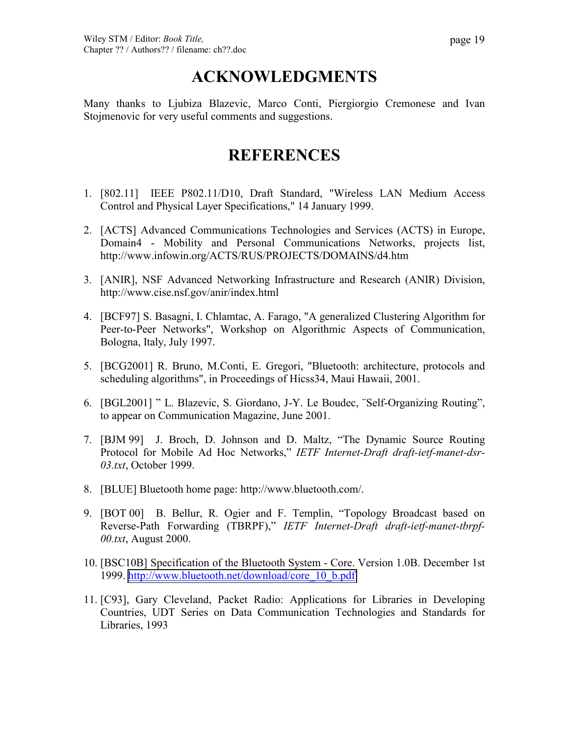# **ACKNOWLEDGMENTS**

<span id="page-18-0"></span>Many thanks to Ljubiza Blazevic, Marco Conti, Piergiorgio Cremonese and Ivan Stojmenovic for very useful comments and suggestions.

## **REFERENCES**

- 1. [802.11] IEEE P802.11/D10, Draft Standard, "Wireless LAN Medium Access Control and Physical Layer Specifications," 14 January 1999.
- 2. [ACTS] Advanced Communications Technologies and Services (ACTS) in Europe, Domain4 - Mobility and Personal Communications Networks, projects list, http://www.infowin.org/ACTS/RUS/PROJECTS/DOMAINS/d4.htm
- 3. [ANIR], NSF Advanced Networking Infrastructure and Research (ANIR) Division, http://www.cise.nsf.gov/anir/index.html
- 4. [BCF97] S. Basagni, I. Chlamtac, A. Farago, "A generalized Clustering Algorithm for Peer-to-Peer Networks", Workshop on Algorithmic Aspects of Communication, Bologna, Italy, July 1997.
- 5. [BCG2001] R. Bruno, M.Conti, E. Gregori, "Bluetooth: architecture, protocols and scheduling algorithms", in Proceedings of Hicss34, Maui Hawaii, 2001.
- 6. [BGL2001] " L. Blazevic, S. Giordano, J-Y. Le Boudec, ¨Self-Organizing Routing", to appear on Communication Magazine, June 2001.
- 7. [BJM 99] J. Broch, D. Johnson and D. Maltz, "The Dynamic Source Routing Protocol for Mobile Ad Hoc Networks," *IETF Internet-Draft draft-ietf-manet-dsr-03.txt*, October 1999.
- 8. [BLUE] Bluetooth home page: http://www.bluetooth.com/.
- 9. [BOT 00] B. Bellur, R. Ogier and F. Templin, "Topology Broadcast based on Reverse-Path Forwarding (TBRPF)," *IETF Internet-Draft draft-ietf-manet-tbrpf-00.txt*, August 2000.
- 10. [BSC10B] Specification of the Bluetooth System Core. Version 1.0B. December 1st 1999. [http://www.bluetooth.net/download/core\\_10\\_b.pdf](http://www.bluetooth.net/download/core_10_b.pdf)
- 11. [C93], Gary Cleveland, Packet Radio: Applications for Libraries in Developing Countries, UDT Series on Data Communication Technologies and Standards for Libraries, 1993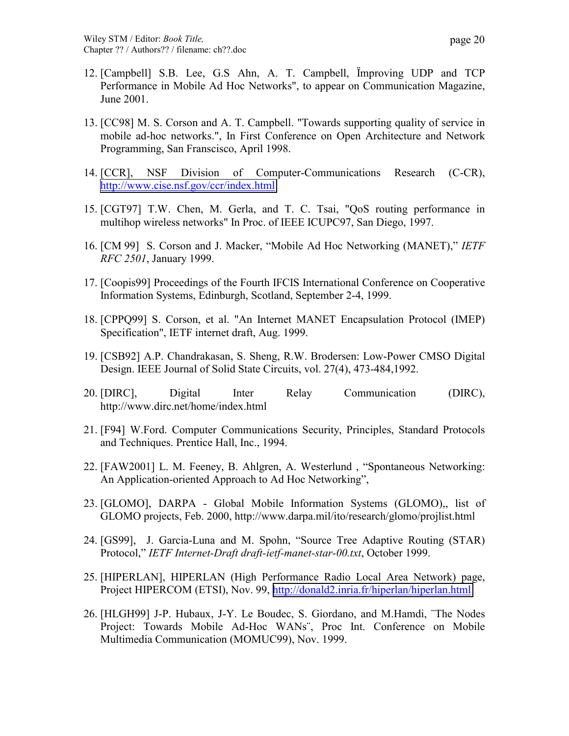- <span id="page-19-0"></span>12. [Campbell] S.B. Lee, G.S Ahn, A. T. Campbell, Ïmproving UDP and TCP Performance in Mobile Ad Hoc Networks", to appear on Communication Magazine, June 2001.
- 13. [CC98] M. S. Corson and A. T. Campbell. "Towards supporting quality of service in mobile ad-hoc networks.", In First Conference on Open Architecture and Network Programming, San Franscisco, April 1998.
- 14. [CCR], NSF Division of Computer-Communications Research (C-CR), <http://www.cise.nsf.gov/ccr/index.html>
- 15. [CGT97] T.W. Chen, M. Gerla, and T. C. Tsai, "QoS routing performance in multihop wireless networks" In Proc. of IEEE ICUPC97, San Diego, 1997.
- 16. [CM 99] S. Corson and J. Macker, "Mobile Ad Hoc Networking (MANET)," *IETF RFC 2501*, January 1999.
- 17. [Coopis99] Proceedings of the Fourth IFCIS International Conference on Cooperative Information Systems, Edinburgh, Scotland, September 2-4, 1999.
- 18. [CPPQ99] S. Corson, et al. "An Internet MANET Encapsulation Protocol (IMEP) Specification", IETF internet draft, Aug. 1999.
- 19. [CSB92] A.P. Chandrakasan, S. Sheng, R.W. Brodersen: Low-Power CMSO Digital Design. IEEE Journal of Solid State Circuits, vol. 27(4), 473-484,1992.
- 20. [DIRC], Digital Inter Relay Communication (DIRC), http://www.dirc.net/home/index.html
- 21. [F94] W.Ford. Computer Communications Security, Principles, Standard Protocols and Techniques. Prentice Hall, Inc., 1994.
- 22. [FAW2001] L. M. Feeney, B. Ahlgren, A. Westerlund , "Spontaneous Networking: An Application-oriented Approach to Ad Hoc Networking",
- 23. [GLOMO], DARPA Global Mobile Information Systems (GLOMO),, list of GLOMO projects, Feb. 2000, http://www.darpa.mil/ito/research/glomo/projlist.html
- 24. [GS99], J. Garcia-Luna and M. Spohn, "Source Tree Adaptive Routing (STAR) Protocol," *IETF Internet-Draft draft-ietf-manet-star-00.txt*, October 1999.
- 25. [HIPERLAN], HIPERLAN (High Performance Radio Local Area Network) page, Project HIPERCOM (ETSI), Nov. 99, <http://donald2.inria.fr/hiperlan/hiperlan.html>
- 26. [HLGH99] J-P. Hubaux, J-Y. Le Boudec, S. Giordano, and M.Hamdi, ¨The Nodes Project: Towards Mobile Ad-Hoc WANs¨, Proc Int. Conference on Mobile Multimedia Communication (MOMUC99), Nov. 1999.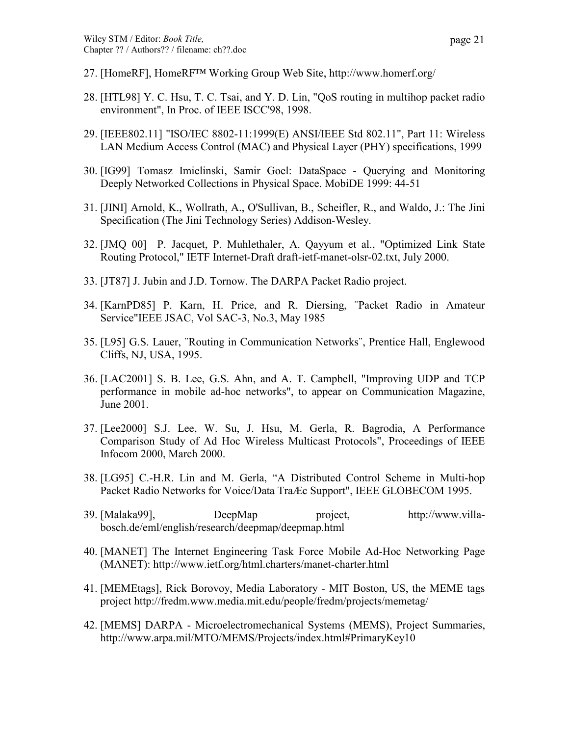- <span id="page-20-0"></span>27. [HomeRF], HomeRF™ Working Group Web Site, http://www.homerf.org/
- 28. [HTL98] Y. C. Hsu, T. C. Tsai, and Y. D. Lin, "QoS routing in multihop packet radio environment", In Proc. of IEEE ISCC'98, 1998.
- 29. [IEEE802.11] "ISO/IEC 8802-11:1999(E) ANSI/IEEE Std 802.11", Part 11: Wireless LAN Medium Access Control (MAC) and Physical Layer (PHY) specifications, 1999
- 30. [IG99] Tomasz Imielinski, Samir Goel: DataSpace Querying and Monitoring Deeply Networked Collections in Physical Space. MobiDE 1999: 44-51
- 31. [JINI] Arnold, K., Wollrath, A., O'Sullivan, B., Scheifler, R., and Waldo, J.: The Jini Specification (The Jini Technology Series) Addison-Wesley.
- 32. [JMQ 00] P. Jacquet, P. Muhlethaler, A. Qayyum et al., "Optimized Link State Routing Protocol," IETF Internet-Draft draft-ietf-manet-olsr-02.txt, July 2000.
- 33. [JT87] J. Jubin and J.D. Tornow. The DARPA Packet Radio project.
- 34. [KarnPD85] P. Karn, H. Price, and R. Diersing, ¨Packet Radio in Amateur Service"IEEE JSAC, Vol SAC-3, No.3, May 1985
- 35. [L95] G.S. Lauer, ¨Routing in Communication Networks¨, Prentice Hall, Englewood Cliffs, NJ, USA, 1995.
- 36. [LAC2001] S. B. Lee, G.S. Ahn, and A. T. Campbell, "Improving UDP and TCP performance in mobile ad-hoc networks", to appear on Communication Magazine, June 2001.
- 37. [Lee2000] S.J. Lee, W. Su, J. Hsu, M. Gerla, R. Bagrodia, A Performance Comparison Study of Ad Hoc Wireless Multicast Protocols", Proceedings of IEEE Infocom 2000, March 2000.
- 38. [LG95] C.-H.R. Lin and M. Gerla, "A Distributed Control Scheme in Multi-hop Packet Radio Networks for Voice/Data TraÆc Support", IEEE GLOBECOM 1995.
- 39. [Malaka99], DeepMap project, http://www.villabosch.de/eml/english/research/deepmap/deepmap.html
- 40. [MANET] The Internet Engineering Task Force Mobile Ad-Hoc Networking Page (MANET): http://www.ietf.org/html.charters/manet-charter.html
- 41. [MEMEtags], Rick Borovoy, Media Laboratory MIT Boston, US, the MEME tags project http://fredm.www.media.mit.edu/people/fredm/projects/memetag/
- 42. [MEMS] DARPA Microelectromechanical Systems (MEMS), Project Summaries, http://www.arpa.mil/MTO/MEMS/Projects/index.html#PrimaryKey10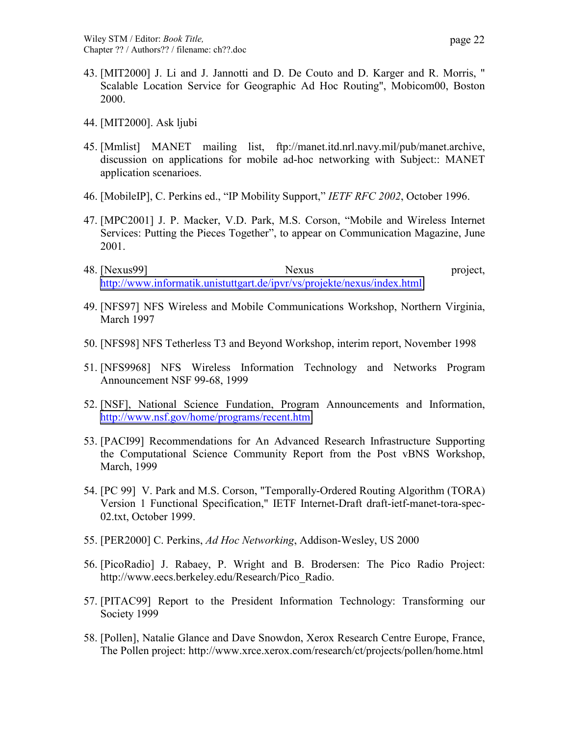- <span id="page-21-0"></span>43. [MIT2000] J. Li and J. Jannotti and D. De Couto and D. Karger and R. Morris, " Scalable Location Service for Geographic Ad Hoc Routing", Mobicom00, Boston 2000.
- 44. [MIT2000]. Ask ljubi
- 45. [Mmlist] MANET mailing list, ftp://manet.itd.nrl.navy.mil/pub/manet.archive, discussion on applications for mobile ad-hoc networking with Subject:: MANET application scenarioes.
- 46. [MobileIP], C. Perkins ed., "IP Mobility Support," *IETF RFC 2002*, October 1996.
- 47. [MPC2001] J. P. Macker, V.D. Park, M.S. Corson, "Mobile and Wireless Internet Services: Putting the Pieces Together", to appear on Communication Magazine, June 2001.
- 48. [Nexus99] Nexus project, [http://www.informatik.unistuttgart.de/ipvr/vs/projekte/nexus/index.html](http://www.informatik.uni-stuttgart.de/ipvr/vs/projekte/nexus/index.html)
- 49. [NFS97] NFS Wireless and Mobile Communications Workshop, Northern Virginia, March 1997
- 50. [NFS98] NFS Tetherless T3 and Beyond Workshop, interim report, November 1998
- 51. [NFS9968] NFS Wireless Information Technology and Networks Program Announcement NSF 99-68, 1999
- 52. [NSF], National Science Fundation, Program Announcements and Information, <http://www.nsf.gov/home/programs/recent.htm>
- 53. [PACI99] Recommendations for An Advanced Research Infrastructure Supporting the Computational Science Community Report from the Post vBNS Workshop, March, 1999
- 54. [PC 99] V. Park and M.S. Corson, "Temporally-Ordered Routing Algorithm (TORA) Version 1 Functional Specification," IETF Internet-Draft draft-ietf-manet-tora-spec-02.txt, October 1999.
- 55. [PER2000] C. Perkins, *Ad Hoc Networking*, Addison-Wesley, US 2000
- 56. [PicoRadio] J. Rabaey, P. Wright and B. Brodersen: The Pico Radio Project: http://www.eecs.berkeley.edu/Research/Pico\_Radio.
- 57. [PITAC99] Report to the President Information Technology: Transforming our Society 1999
- 58. [Pollen], Natalie Glance and Dave Snowdon, Xerox Research Centre Europe, France, The Pollen project: http://www.xrce.xerox.com/research/ct/projects/pollen/home.html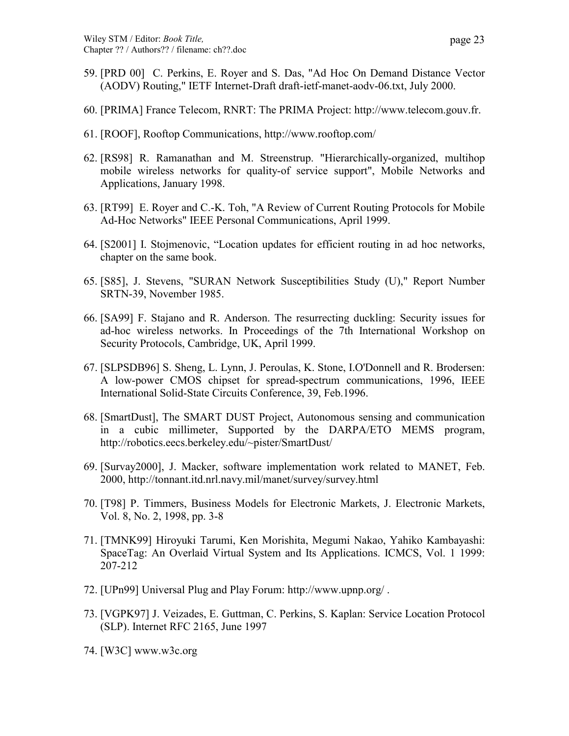- <span id="page-22-0"></span>59. [PRD 00] C. Perkins, E. Royer and S. Das, "Ad Hoc On Demand Distance Vector (AODV) Routing," IETF Internet-Draft draft-ietf-manet-aodv-06.txt, July 2000.
- 60. [PRIMA] France Telecom, RNRT: The PRIMA Project: http://www.telecom.gouv.fr.
- 61. [ROOF], Rooftop Communications, http://www.rooftop.com/
- 62. [RS98] R. Ramanathan and M. Streenstrup. "Hierarchically-organized, multihop mobile wireless networks for quality-of service support", Mobile Networks and Applications, January 1998.
- 63. [RT99] E. Royer and C.-K. Toh, "A Review of Current Routing Protocols for Mobile Ad-Hoc Networks" IEEE Personal Communications, April 1999.
- 64. [S2001] I. Stojmenovic, "Location updates for efficient routing in ad hoc networks, chapter on the same book.
- 65. [S85], J. Stevens, "SURAN Network Susceptibilities Study (U)," Report Number SRTN-39, November 1985.
- 66. [SA99] F. Stajano and R. Anderson. The resurrecting duckling: Security issues for ad-hoc wireless networks. In Proceedings of the 7th International Workshop on Security Protocols, Cambridge, UK, April 1999.
- 67. [SLPSDB96] S. Sheng, L. Lynn, J. Peroulas, K. Stone, I.O'Donnell and R. Brodersen: A low-power CMOS chipset for spread-spectrum communications, 1996, IEEE International Solid-State Circuits Conference, 39, Feb.1996.
- 68. [SmartDust], The SMART DUST Project, Autonomous sensing and communication in a cubic millimeter, Supported by the DARPA/ETO MEMS program, http://robotics.eecs.berkeley.edu/~pister/SmartDust/
- 69. [Survay2000], J. Macker, software implementation work related to MANET, Feb. 2000, http://tonnant.itd.nrl.navy.mil/manet/survey/survey.html
- 70. [T98] P. Timmers, Business Models for Electronic Markets, J. Electronic Markets, Vol. 8, No. 2, 1998, pp. 3-8
- 71. [TMNK99] Hiroyuki Tarumi, Ken Morishita, Megumi Nakao, Yahiko Kambayashi: SpaceTag: An Overlaid Virtual System and Its Applications. ICMCS, Vol. 1 1999: 207-212
- 72. [UPn99] Universal Plug and Play Forum: http://www.upnp.org/ .
- 73. [VGPK97] J. Veizades, E. Guttman, C. Perkins, S. Kaplan: Service Location Protocol (SLP). Internet RFC 2165, June 1997
- 74. [W3C] www.w3c.org